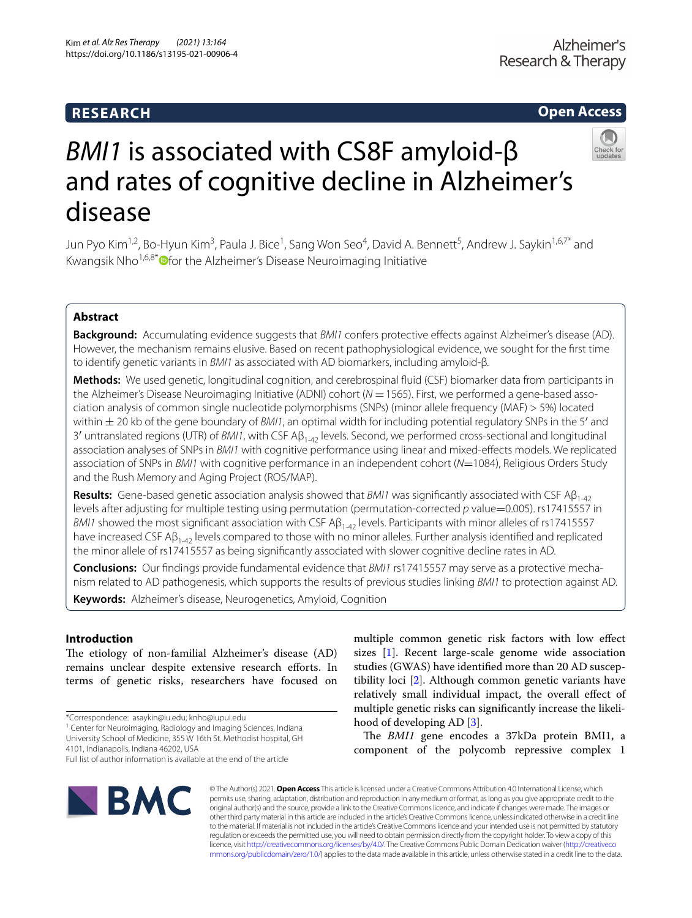# **RESEARCH**

# **Open Access**



# *BMI1* is associated with CS8F amyloid-β and rates of cognitive decline in Alzheimer's disease

Jun Pyo Kim<sup>1,2</sup>, Bo-Hyun Kim<sup>3</sup>, Paula J. Bice<sup>1</sup>, Sang Won Seo<sup>4</sup>, David A. Bennett<sup>5</sup>, Andrew J. Saykin<sup>1,6,7\*</sup> and Kwangsik Nho<sup>1,6,8\*</sup> O[f](http://orcid.org/0000-0002-7624-3872)or the Alzheimer's Disease Neuroimaging Initiative

# **Abstract**

**Background:** Accumulating evidence suggests that *BMI1* confers protective efects against Alzheimer's disease (AD). However, the mechanism remains elusive. Based on recent pathophysiological evidence, we sought for the frst time to identify genetic variants in *BMI1* as associated with AD biomarkers, including amyloid-β.

**Methods:** We used genetic, longitudinal cognition, and cerebrospinal fuid (CSF) biomarker data from participants in the Alzheimer's Disease Neuroimaging Initiative (ADNI) cohort (*N* = 1565). First, we performed a gene-based association analysis of common single nucleotide polymorphisms (SNPs) (minor allele frequency (MAF) > 5%) located within ± 20 kb of the gene boundary of *BMI1*, an optimal width for including potential regulatory SNPs in the 5′ and 3′ untranslated regions (UTR) of *BMI1*, with CSF Aβ1-42 levels. Second, we performed cross-sectional and longitudinal association analyses of SNPs in *BMI1* with cognitive performance using linear and mixed-efects models. We replicated association of SNPs in *BMI1* with cognitive performance in an independent cohort (*N*=1084), Religious Orders Study and the Rush Memory and Aging Project (ROS/MAP).

**Results:** Gene-based genetic association analysis showed that *BMI1* was significantly associated with CSF Aβ<sub>1-42</sub> levels after adjusting for multiple testing using permutation (permutation-corrected *p* value=0.005). rs17415557 in *BMI1* showed the most significant association with CSF A $\beta_{1-42}$  levels. Participants with minor alleles of rs17415557 have increased CSF A $\beta_{1-42}$  levels compared to those with no minor alleles. Further analysis identified and replicated the minor allele of rs17415557 as being signifcantly associated with slower cognitive decline rates in AD.

**Conclusions:** Our findings provide fundamental evidence that *BMI1* rs17415557 may serve as a protective mechanism related to AD pathogenesis, which supports the results of previous studies linking *BMI1* to protection against AD.

**Keywords:** Alzheimer's disease, Neurogenetics, Amyloid, Cognition

# **Introduction**

The etiology of non-familial Alzheimer's disease (AD) remains unclear despite extensive research eforts. In terms of genetic risks, researchers have focused on

\*Correspondence: asaykin@iu.edu; knho@iupui.edu

<sup>1</sup> Center for Neuroimaging, Radiology and Imaging Sciences, Indiana University School of Medicine, 355 W 16th St. Methodist hospital, GH 4101, Indianapolis, Indiana 46202, USA

sizes [[1](#page-6-0)]. Recent large-scale genome wide association studies (GWAS) have identifed more than 20 AD susceptibility loci [[2\]](#page-6-1). Although common genetic variants have relatively small individual impact, the overall efect of multiple genetic risks can signifcantly increase the likelihood of developing AD [\[3](#page-6-2)].

multiple common genetic risk factors with low efect

The *BMI1* gene encodes a 37kDa protein BMI1, a component of the polycomb repressive complex 1



© The Author(s) 2021. **Open Access** This article is licensed under a Creative Commons Attribution 4.0 International License, which permits use, sharing, adaptation, distribution and reproduction in any medium or format, as long as you give appropriate credit to the original author(s) and the source, provide a link to the Creative Commons licence, and indicate if changes were made. The images or other third party material in this article are included in the article's Creative Commons licence, unless indicated otherwise in a credit line to the material. If material is not included in the article's Creative Commons licence and your intended use is not permitted by statutory regulation or exceeds the permitted use, you will need to obtain permission directly from the copyright holder. To view a copy of this licence, visit [http://creativecommons.org/licenses/by/4.0/.](http://creativecommons.org/licenses/by/4.0/) The Creative Commons Public Domain Dedication waiver ([http://creativeco](http://creativecommons.org/publicdomain/zero/1.0/) [mmons.org/publicdomain/zero/1.0/](http://creativecommons.org/publicdomain/zero/1.0/)) applies to the data made available in this article, unless otherwise stated in a credit line to the data.

Full list of author information is available at the end of the article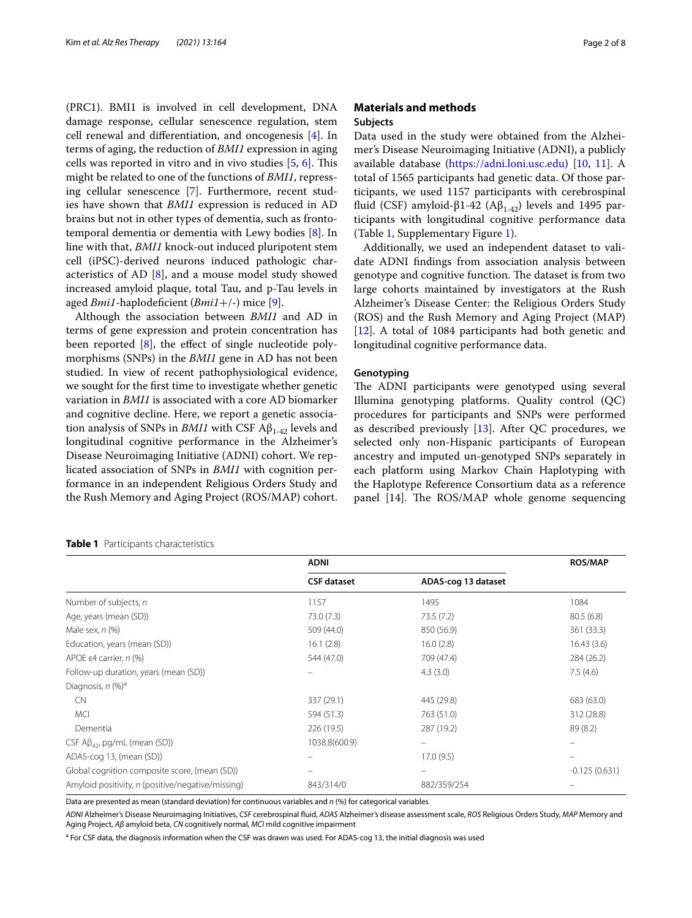(PRC1). BMI1 is involved in cell development, DNA damage response, cellular senescence regulation, stem cell renewal and diferentiation, and oncogenesis [[4\]](#page-6-3). In terms of aging, the reduction of *BMI1* expression in aging cells was reported in vitro and in vivo studies  $[5, 6]$  $[5, 6]$  $[5, 6]$ . This might be related to one of the functions of *BMI1*, repressing cellular senescence [\[7](#page-6-6)]. Furthermore, recent studies have shown that *BMI1* expression is reduced in AD brains but not in other types of dementia, such as frontotemporal dementia or dementia with Lewy bodies [[8\]](#page-6-7). In line with that, *BMI1* knock-out induced pluripotent stem cell (iPSC)-derived neurons induced pathologic characteristics of AD  $[8]$  $[8]$ , and a mouse model study showed increased amyloid plaque, total Tau, and p-Tau levels in aged *Bmi1*-haplodefcient (*Bmi1*+/-) mice [\[9](#page-6-8)].

Although the association between *BMI1* and AD in terms of gene expression and protein concentration has been reported  $[8]$  $[8]$ , the effect of single nucleotide polymorphisms (SNPs) in the *BMI1* gene in AD has not been studied. In view of recent pathophysiological evidence, we sought for the frst time to investigate whether genetic variation in *BMI1* is associated with a core AD biomarker and cognitive decline. Here, we report a genetic association analysis of SNPs in *BMI1* with CSF  $A\beta_{1-42}$  levels and longitudinal cognitive performance in the Alzheimer's Disease Neuroimaging Initiative (ADNI) cohort. We replicated association of SNPs in *BMI1* with cognition performance in an independent Religious Orders Study and the Rush Memory and Aging Project (ROS/MAP) cohort.

# <span id="page-1-0"></span>**Table 1** Participants characteristics

# **Materials and methods Subjects**

Data used in the study were obtained from the Alzheimer's Disease Neuroimaging Initiative (ADNI), a publicly available database [\(https://adni.loni.usc.edu](https://adni.loni.usc.edu)) [\[10](#page-6-9), [11](#page-6-10)]. A total of 1565 participants had genetic data. Of those participants, we used 1157 participants with cerebrospinal fluid (CSF) amyloid-β1-42 (A $β$ <sub>1-42</sub>) levels and 1495 participants with longitudinal cognitive performance data (Table [1,](#page-1-0) Supplementary Figure [1\)](#page-5-0).

Additionally, we used an independent dataset to validate ADNI fndings from association analysis between genotype and cognitive function. The dataset is from two large cohorts maintained by investigators at the Rush Alzheimer's Disease Center: the Religious Orders Study (ROS) and the Rush Memory and Aging Project (MAP) [[12\]](#page-6-11). A total of 1084 participants had both genetic and longitudinal cognitive performance data.

# **Genotyping**

The ADNI participants were genotyped using several Illumina genotyping platforms. Quality control (QC) procedures for participants and SNPs were performed as described previously [[13\]](#page-6-12). After QC procedures, we selected only non-Hispanic participants of European ancestry and imputed un-genotyped SNPs separately in each platform using Markov Chain Haplotyping with the Haplotype Reference Consortium data as a reference panel [14]. The ROS/MAP whole genome sequencing

|                                                   | <b>ADNI</b>        | <b>ROS/MAP</b>      |                 |  |
|---------------------------------------------------|--------------------|---------------------|-----------------|--|
|                                                   | <b>CSF</b> dataset | ADAS-cog 13 dataset |                 |  |
| Number of subjects, n                             | 1157               | 1495                | 1084            |  |
| Age, years (mean (SD))                            | 73.0 (7.3)         | 73.5 (7.2)          | 80.5(6.8)       |  |
| Male sex, $n$ $%$                                 | 509 (44.0)         | 850 (56.9)          | 361 (33.3)      |  |
| Education, years (mean (SD))                      | 16.1(2.8)          | 16.0(2.8)           | 16.43(3.6)      |  |
| APOE $\varepsilon$ 4 carrier, n (%)               | 544 (47.0)         | 709 (47.4)          | 284 (26.2)      |  |
| Follow-up duration, years (mean (SD))             |                    | 4.3(3.0)            | 7.5(4.6)        |  |
| Diagnosis, n (%) <sup>a</sup>                     |                    |                     |                 |  |
| <b>CN</b>                                         | 337 (29.1)         | 445 (29.8)          | 683 (63.0)      |  |
| <b>MCI</b>                                        | 594 (51.3)         | 763 (51.0)          | 312 (28.8)      |  |
| Dementia                                          | 226 (19.5)         | 287 (19.2)          | 89(8.2)         |  |
| CSF $A\beta_{42}$ , pg/mL (mean (SD))             | 1038.8(600.9)      |                     |                 |  |
| ADAS-cog 13, (mean (SD))                          |                    | 17.0(9.5)           |                 |  |
| Global cognition composite score, (mean (SD))     |                    |                     | $-0.125(0.631)$ |  |
| Amyloid positivity, n (positive/negative/missing) | 843/314/0          | 882/359/254         |                 |  |

Data are presented as mean (standard deviation) for continuous variables and *n* (%) for categorical variables

*ADNI* Alzheimer's Disease Neuroimaging Initiatives, *CSF* cerebrospinal fuid, *ADAS* Alzheimer's disease assessment scale, *ROS* Religious Orders Study, *MAP* Memory and Aging Project, *Aβ* amyloid beta, *CN* cognitively normal, *MCI* mild cognitive impairment

<sup>a</sup> For CSF data, the diagnosis information when the CSF was drawn was used. For ADAS-cog 13, the initial diagnosis was used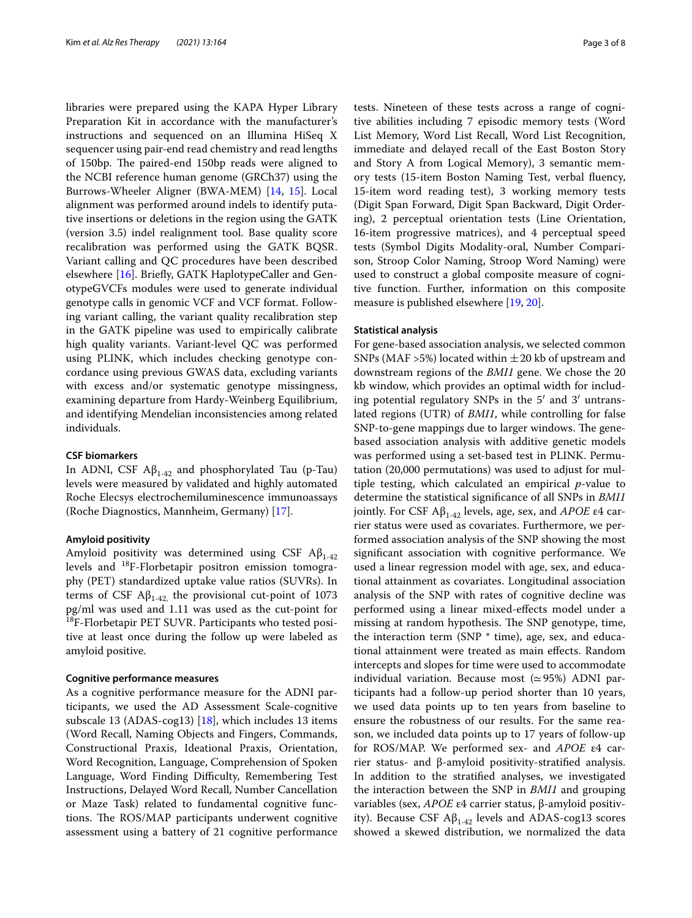libraries were prepared using the KAPA Hyper Library Preparation Kit in accordance with the manufacturer's instructions and sequenced on an Illumina HiSeq X sequencer using pair-end read chemistry and read lengths of 150bp. The paired-end 150bp reads were aligned to the NCBI reference human genome (GRCh37) using the Burrows-Wheeler Aligner (BWA-MEM) [\[14](#page-6-13), [15\]](#page-6-14). Local alignment was performed around indels to identify putative insertions or deletions in the region using the GATK (version 3.5) indel realignment tool. Base quality score recalibration was performed using the GATK BQSR. Variant calling and QC procedures have been described elsewhere [\[16\]](#page-6-15). Briefy, GATK HaplotypeCaller and GenotypeGVCFs modules were used to generate individual genotype calls in genomic VCF and VCF format. Following variant calling, the variant quality recalibration step in the GATK pipeline was used to empirically calibrate high quality variants. Variant-level QC was performed using PLINK, which includes checking genotype concordance using previous GWAS data, excluding variants with excess and/or systematic genotype missingness, examining departure from Hardy-Weinberg Equilibrium, and identifying Mendelian inconsistencies among related individuals.

# **CSF biomarkers**

In ADNI, CSF  $A\beta_{1-42}$  and phosphorylated Tau (p-Tau) levels were measured by validated and highly automated Roche Elecsys electrochemiluminescence immunoassays (Roche Diagnostics, Mannheim, Germany) [\[17\]](#page-6-16).

# **Amyloid positivity**

Amyloid positivity was determined using CSF  $A\beta_{1-42}$ levels and 18F-Florbetapir positron emission tomography (PET) standardized uptake value ratios (SUVRs). In terms of CSF A $β_{1-42}$ , the provisional cut-point of 1073 pg/ml was used and 1.11 was used as the cut-point for <sup>18</sup>F-Florbetapir PET SUVR. Participants who tested positive at least once during the follow up were labeled as amyloid positive.

# **Cognitive performance measures**

As a cognitive performance measure for the ADNI participants, we used the AD Assessment Scale-cognitive subscale 13 (ADAS-cog13) [\[18\]](#page-6-17), which includes 13 items (Word Recall, Naming Objects and Fingers, Commands, Constructional Praxis, Ideational Praxis, Orientation, Word Recognition, Language, Comprehension of Spoken Language, Word Finding Difficulty, Remembering Test Instructions, Delayed Word Recall, Number Cancellation or Maze Task) related to fundamental cognitive functions. The ROS/MAP participants underwent cognitive assessment using a battery of 21 cognitive performance

tests. Nineteen of these tests across a range of cognitive abilities including 7 episodic memory tests (Word List Memory, Word List Recall, Word List Recognition, immediate and delayed recall of the East Boston Story and Story A from Logical Memory), 3 semantic memory tests (15-item Boston Naming Test, verbal fuency, 15-item word reading test), 3 working memory tests (Digit Span Forward, Digit Span Backward, Digit Ordering), 2 perceptual orientation tests (Line Orientation, 16-item progressive matrices), and 4 perceptual speed tests (Symbol Digits Modality-oral, Number Comparison, Stroop Color Naming, Stroop Word Naming) were used to construct a global composite measure of cognitive function. Further, information on this composite measure is published elsewhere [[19](#page-6-18), [20\]](#page-6-19).

# **Statistical analysis**

For gene-based association analysis, we selected common SNPs (MAF >5%) located within  $\pm 20$  kb of upstream and downstream regions of the *BMI1* gene. We chose the 20 kb window, which provides an optimal width for including potential regulatory SNPs in the 5′ and 3′ untranslated regions (UTR) of *BMI1*, while controlling for false SNP-to-gene mappings due to larger windows. The genebased association analysis with additive genetic models was performed using a set-based test in PLINK. Permutation (20,000 permutations) was used to adjust for multiple testing, which calculated an empirical *p*-value to determine the statistical signifcance of all SNPs in *BMI1* jointly. For CSF Aβ1-42 levels, age, sex, and *APOE* ε4 carrier status were used as covariates. Furthermore, we performed association analysis of the SNP showing the most signifcant association with cognitive performance. We used a linear regression model with age, sex, and educational attainment as covariates. Longitudinal association analysis of the SNP with rates of cognitive decline was performed using a linear mixed-efects model under a missing at random hypothesis. The SNP genotype, time, the interaction term (SNP \* time), age, sex, and educational attainment were treated as main efects. Random intercepts and slopes for time were used to accommodate individual variation. Because most  $(\simeq 95%)$  ADNI participants had a follow-up period shorter than 10 years, we used data points up to ten years from baseline to ensure the robustness of our results. For the same reason, we included data points up to 17 years of follow-up for ROS/MAP. We performed sex- and *APOE* ε4 carrier status- and β-amyloid positivity-stratifed analysis. In addition to the stratifed analyses, we investigated the interaction between the SNP in *BMI1* and grouping variables (sex, *APOE* ε4 carrier status, β-amyloid positivity). Because CSF  $A\beta_{1-42}$  levels and ADAS-cog13 scores showed a skewed distribution, we normalized the data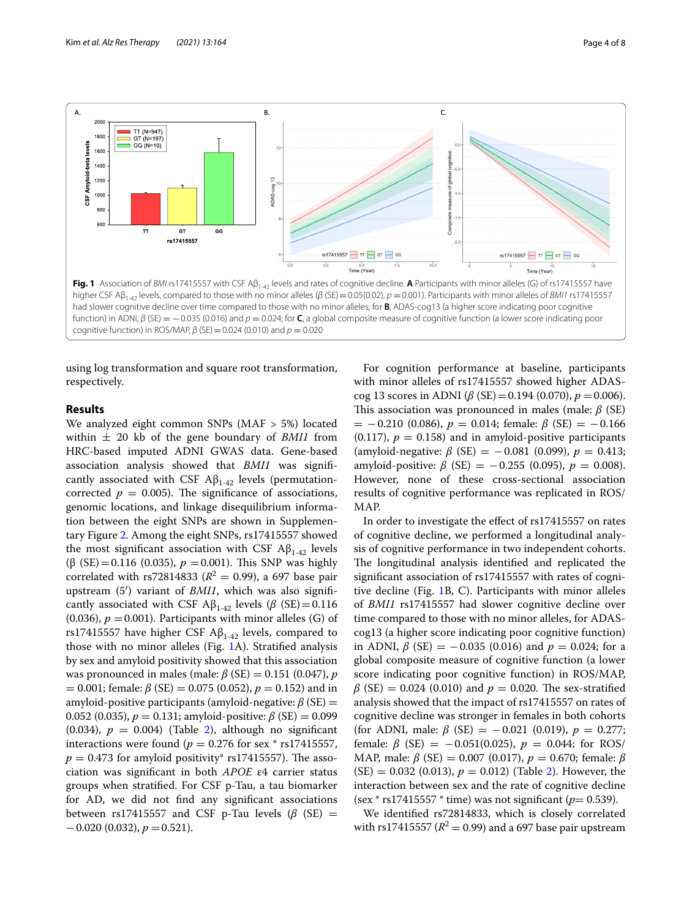

<span id="page-3-0"></span>using log transformation and square root transformation, respectively.

# **Results**

We analyzed eight common SNPs (MAF > 5%) located within  $\pm$  20 kb of the gene boundary of *BMI1* from HRC-based imputed ADNI GWAS data. Gene-based association analysis showed that *BMI1* was signifcantly associated with CSF  $\mathbf{A}\mathbf{\beta}_{1-42}$  levels (permutationcorrected  $p = 0.005$ ). The significance of associations, genomic locations, and linkage disequilibrium information between the eight SNPs are shown in Supplementary Figure [2](#page-5-1). Among the eight SNPs, rs17415557 showed the most significant association with CSF  $A\beta_{1-42}$  levels (β (SE) = 0.116 (0.035),  $p = 0.001$ ). This SNP was highly correlated with rs72814833 ( $R^2 = 0.99$ ), a 697 base pair upstream (5′) variant of *BMI1*, which was also signifcantly associated with CSF  $A\beta_{1-42}$  levels ( $\beta$  (SE) = 0.116 (0.036),  $p = 0.001$ ). Participants with minor alleles (G) of rs17415557 have higher CSF  $A\beta_{1-42}$  levels, compared to those with no minor alleles (Fig. [1A](#page-3-0)). Stratifed analysis by sex and amyloid positivity showed that this association was pronounced in males (male: *β* (SE) = 0.151 (0.047), *p*  $= 0.001$ ; female:  $\beta$  (SE)  $= 0.075$  (0.052),  $p = 0.152$ ) and in amyloid-positive participants (amyloid-negative: *β* (SE) = 0.052 (0.035),  $p = 0.131$ ; amyloid-positive:  $\beta$  (SE) = 0.099 (0.034),  $p = 0.004$ ) (Table [2\)](#page-4-0), although no significant interactions were found ( $p = 0.276$  for sex  $*$  rs17415557,  $p = 0.473$  for amyloid positivity\* rs17415557). The association was signifcant in both *APOE* ε4 carrier status groups when stratifed. For CSF p-Tau, a tau biomarker for AD, we did not fnd any signifcant associations between rs17415557 and CSF p-Tau levels  $(\beta$  (SE) =  $-0.020$  (0.032),  $p = 0.521$ ).

For cognition performance at baseline, participants with minor alleles of rs17415557 showed higher ADAScog 13 scores in ADNI (β (SE) = 0.194 (0.070),  $p = 0.006$ ). This association was pronounced in males (male:  $\beta$  (SE)  $= -0.210$  (0.086),  $p = 0.014$ ; female:  $\beta$  (SE) = -0.166  $(0.117)$ ,  $p = 0.158$ ) and in amyloid-positive participants (amyloid-negative: *β* (SE) = -0.081 (0.099),  $p = 0.413$ ; amyloid-positive:  $\beta$  (SE) = -0.255 (0.095),  $p = 0.008$ ). However, none of these cross-sectional association results of cognitive performance was replicated in ROS/ MAP.

In order to investigate the efect of rs17415557 on rates of cognitive decline, we performed a longitudinal analysis of cognitive performance in two independent cohorts. The longitudinal analysis identified and replicated the signifcant association of rs17415557 with rates of cognitive decline (Fig. [1B](#page-3-0), C). Participants with minor alleles of *BMI1* rs17415557 had slower cognitive decline over time compared to those with no minor alleles, for ADAScog13 (a higher score indicating poor cognitive function) in ADNI,  $\beta$  (SE) = -0.035 (0.016) and  $p = 0.024$ ; for a global composite measure of cognitive function (a lower score indicating poor cognitive function) in ROS/MAP,  $β$  (SE) = 0.024 (0.010) and  $p = 0.020$ . The sex-stratified analysis showed that the impact of rs17415557 on rates of cognitive decline was stronger in females in both cohorts (for ADNI, male:  $\beta$  (SE) = -0.021 (0.019),  $p = 0.277$ ; female:  $β$  (SE) = -0.051(0.025),  $p = 0.044$ ; for ROS/ MAP, male: *β* (SE) = 0.007 (0.017), *p* = 0.670; female: *β*  $(SE) = 0.032$  $(SE) = 0.032$  (0.013),  $p = 0.012$ ) (Table 2). However, the interaction between sex and the rate of cognitive decline  $(sex * rs17415557 * time)$  was not significant ( $p= 0.539$ ).

We identifed rs72814833, which is closely correlated with rs17415557 ( $R^2 = 0.99$ ) and a 697 base pair upstream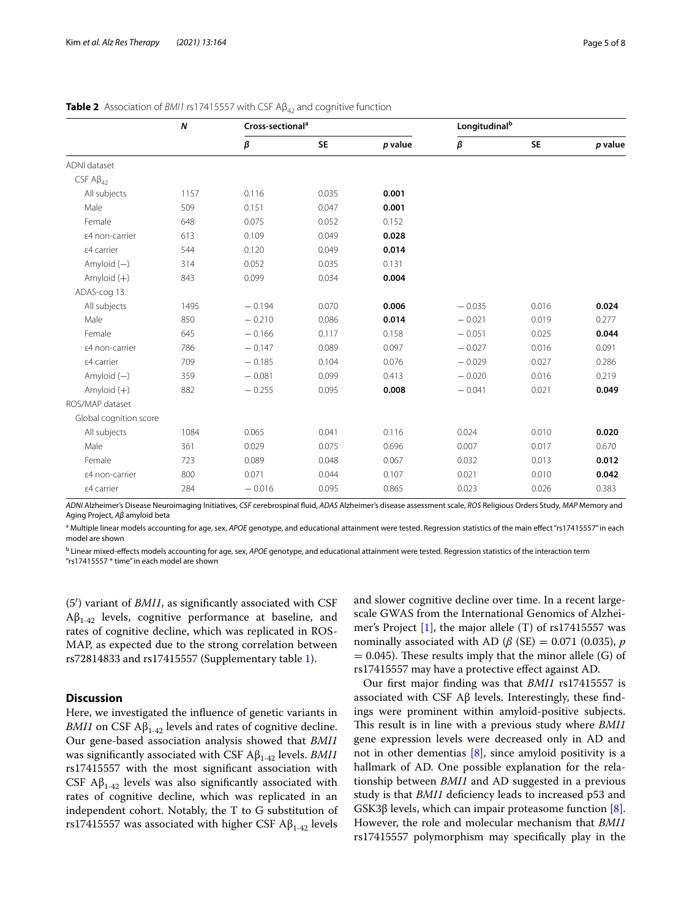|                        | $\boldsymbol{N}$ | Cross-sectional <sup>a</sup> |           |         |          | Longitudinal <sup>b</sup> |         |  |
|------------------------|------------------|------------------------------|-----------|---------|----------|---------------------------|---------|--|
|                        |                  | β                            | <b>SE</b> | p value | β        | <b>SE</b>                 | p value |  |
| ADNI dataset           |                  |                              |           |         |          |                           |         |  |
| CSF $AB_{42}$          |                  |                              |           |         |          |                           |         |  |
| All subjects           | 1157             | 0.116                        | 0.035     | 0.001   |          |                           |         |  |
| Male                   | 509              | 0.151                        | 0.047     | 0.001   |          |                           |         |  |
| Female                 | 648              | 0.075                        | 0.052     | 0.152   |          |                           |         |  |
| ε4 non-carrier         | 613              | 0.109                        | 0.049     | 0.028   |          |                           |         |  |
| ε4 carrier             | 544              | 0.120                        | 0.049     | 0.014   |          |                           |         |  |
| Amyloid $(-)$          | 314              | 0.052                        | 0.035     | 0.131   |          |                           |         |  |
| Amyloid $(+)$          | 843              | 0.099                        | 0.034     | 0.004   |          |                           |         |  |
| ADAS-cog 13            |                  |                              |           |         |          |                           |         |  |
| All subjects           | 1495             | $-0.194$                     | 0.070     | 0.006   | $-0.035$ | 0.016                     | 0.024   |  |
| Male                   | 850              | $-0.210$                     | 0.086     | 0.014   | $-0.021$ | 0.019                     | 0.277   |  |
| Female                 | 645              | $-0.166$                     | 0.117     | 0.158   | $-0.051$ | 0.025                     | 0.044   |  |
| ε4 non-carrier         | 786              | $-0.147$                     | 0.089     | 0.097   | $-0.027$ | 0.016                     | 0.091   |  |
| ε4 carrier             | 709              | $-0.185$                     | 0.104     | 0.076   | $-0.029$ | 0.027                     | 0.286   |  |
| Amyloid $(-)$          | 359              | $-0.081$                     | 0.099     | 0.413   | $-0.020$ | 0.016                     | 0.219   |  |
| Amyloid $(+)$          | 882              | $-0.255$                     | 0.095     | 0.008   | $-0.041$ | 0.021                     | 0.049   |  |
| ROS/MAP dataset        |                  |                              |           |         |          |                           |         |  |
| Global cognition score |                  |                              |           |         |          |                           |         |  |
| All subjects           | 1084             | 0.065                        | 0.041     | 0.116   | 0.024    | 0.010                     | 0.020   |  |
| Male                   | 361              | 0.029                        | 0.075     | 0.696   | 0.007    | 0.017                     | 0.670   |  |
| Female                 | 723              | 0.089                        | 0.048     | 0.067   | 0.032    | 0.013                     | 0.012   |  |
| ε4 non-carrier         | 800              | 0.071                        | 0.044     | 0.107   | 0.021    | 0.010                     | 0.042   |  |
| ε4 carrier             | 284              | $-0.016$                     | 0.095     | 0.865   | 0.023    | 0.026                     | 0.383   |  |

# <span id="page-4-0"></span>**Table 2** Association of *BMI1* rs17415557 with CSF A $\beta_{42}$  and cognitive function

*ADNI* Alzheimer's Disease Neuroimaging Initiatives, *CSF* cerebrospinal fuid, *ADAS* Alzheimer's disease assessment scale, *ROS* Religious Orders Study, *MAP* Memory and Aging Project, *Aβ* amyloid beta

<sup>a</sup> Multiple linear models accounting for age, sex, APOE genotype, and educational attainment were tested. Regression statistics of the main effect "rs17415557" in each model are shown

b Linear mixed-efects models accounting for age, sex, *APOE* genotype, and educational attainment were tested. Regression statistics of the interaction term

"rs17415557 \* time" in each model are shown

(5′) variant of *BMI1*, as signifcantly associated with CSF  $A\beta_{1-42}$  levels, cognitive performance at baseline, and rates of cognitive decline, which was replicated in ROS-MAP, as expected due to the strong correlation between rs72814833 and rs17415557 (Supplementary table [1](#page-5-2)).

# **Discussion**

Here, we investigated the infuence of genetic variants in *BMI1* on CSF  $A\beta_{1-42}$  levels and rates of cognitive decline. Our gene-based association analysis showed that *BMI1* was signifcantly associated with CSF Aβ1-42 levels. *BMI1* rs17415557 with the most signifcant association with CSF  $\mathsf{AB}_{1-42}$  levels was also significantly associated with rates of cognitive decline, which was replicated in an independent cohort. Notably, the T to G substitution of rs17415557 was associated with higher CSF  $A\beta_{1-42}$  levels and slower cognitive decline over time. In a recent largescale GWAS from the International Genomics of Alzheimer's Project [\[1](#page-6-0)], the major allele (T) of rs17415557 was nominally associated with AD ( $\beta$  (SE) = 0.071 (0.035), *p*  $= 0.045$ ). These results imply that the minor allele (G) of rs17415557 may have a protective efect against AD.

Our frst major fnding was that *BMI1* rs17415557 is associated with CSF  $\text{A}\beta$  levels. Interestingly, these findings were prominent within amyloid-positive subjects. This result is in line with a previous study where *BMI1* gene expression levels were decreased only in AD and not in other dementias [\[8](#page-6-7)], since amyloid positivity is a hallmark of AD. One possible explanation for the relationship between *BMI1* and AD suggested in a previous study is that *BMI1* defciency leads to increased p53 and GSK3 $β$  levels, which can impair proteasome function  $[8]$  $[8]$ . However, the role and molecular mechanism that *BMI1* rs17415557 polymorphism may specifcally play in the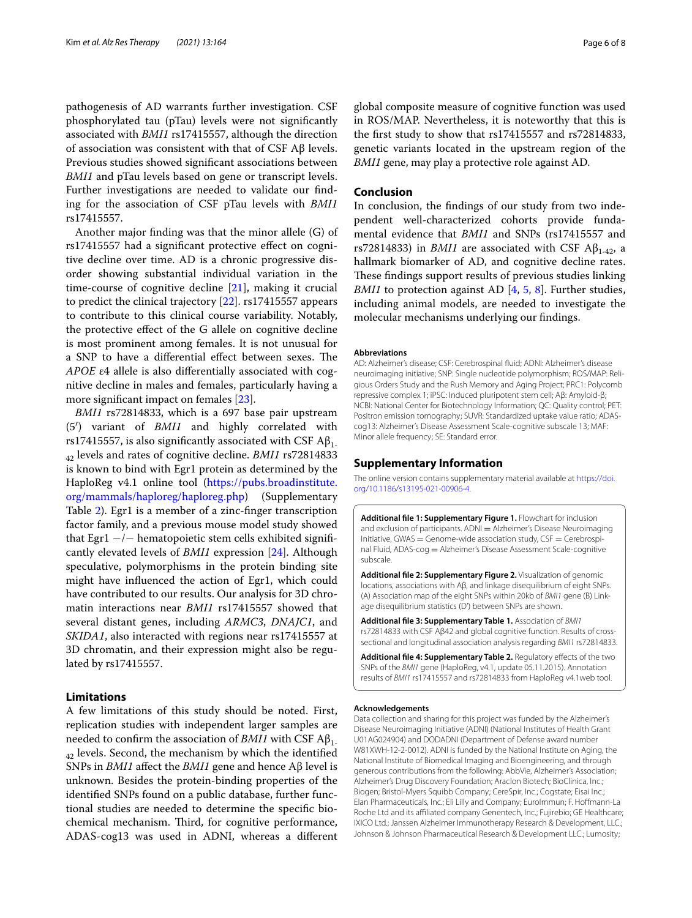pathogenesis of AD warrants further investigation. CSF phosphorylated tau (pTau) levels were not signifcantly associated with *BMI1* rs17415557, although the direction of association was consistent with that of CSF Aβ levels. Previous studies showed signifcant associations between *BMI1* and pTau levels based on gene or transcript levels. Further investigations are needed to validate our fnding for the association of CSF pTau levels with *BMI1* rs17415557.

Another major fnding was that the minor allele (G) of rs17415557 had a signifcant protective efect on cognitive decline over time. AD is a chronic progressive disorder showing substantial individual variation in the time-course of cognitive decline [\[21](#page-6-20)], making it crucial to predict the clinical trajectory [[22\]](#page-6-21). rs17415557 appears to contribute to this clinical course variability. Notably, the protective efect of the G allele on cognitive decline is most prominent among females. It is not unusual for a SNP to have a differential effect between sexes. The *APOE* ε4 allele is also diferentially associated with cognitive decline in males and females, particularly having a more signifcant impact on females [\[23\]](#page-7-0).

*BMI1* rs72814833, which is a 697 base pair upstream (5′) variant of *BMI1* and highly correlated with rs17415557, is also significantly associated with CSF  $A\beta_{1}$ . 42 levels and rates of cognitive decline. *BMI1* rs72814833 is known to bind with Egr1 protein as determined by the HaploReg v4.1 online tool [\(https://pubs.broadinstitute.](https://pubs.broadinstitute.org/mammals/haploreg/haploreg.php) [org/mammals/haploreg/haploreg.php\)](https://pubs.broadinstitute.org/mammals/haploreg/haploreg.php) (Supplementary Table [2\)](#page-5-3). Egr1 is a member of a zinc-fnger transcription factor family, and a previous mouse model study showed that Egr1 −/− hematopoietic stem cells exhibited signifcantly elevated levels of *BMI1* expression [[24](#page-7-1)]. Although speculative, polymorphisms in the protein binding site might have infuenced the action of Egr1, which could have contributed to our results. Our analysis for 3D chromatin interactions near *BMI1* rs17415557 showed that several distant genes, including *ARMC3*, *DNAJC1*, and *SKIDA1*, also interacted with regions near rs17415557 at 3D chromatin, and their expression might also be regulated by rs17415557.

# **Limitations**

A few limitations of this study should be noted. First, replication studies with independent larger samples are needed to confirm the association of *BMI1* with CSF  $A\beta_{1}$ .  $_{42}$  levels. Second, the mechanism by which the identified SNPs in *BMI1* afect the *BMI1* gene and hence Aβ level is unknown. Besides the protein-binding properties of the identifed SNPs found on a public database, further functional studies are needed to determine the specifc biochemical mechanism. Third, for cognitive performance, ADAS-cog13 was used in ADNI, whereas a diferent

global composite measure of cognitive function was used in ROS/MAP. Nevertheless, it is noteworthy that this is the frst study to show that rs17415557 and rs72814833, genetic variants located in the upstream region of the *BMI1* gene, may play a protective role against AD.

# **Conclusion**

In conclusion, the fndings of our study from two independent well-characterized cohorts provide fundamental evidence that *BMI1* and SNPs (rs17415557 and rs72814833) in *BMI1* are associated with CSF  $A\beta_{1-42}$ , a hallmark biomarker of AD, and cognitive decline rates. These findings support results of previous studies linking *BMI1* to protection against AD [\[4](#page-6-3), [5](#page-6-4), [8](#page-6-7)]. Further studies, including animal models, are needed to investigate the molecular mechanisms underlying our fndings.

### **Abbreviations**

AD: Alzheimer's disease; CSF: Cerebrospinal fuid; ADNI: Alzheimer's disease neuroimaging initiative; SNP: Single nucleotide polymorphism; ROS/MAP: Reli‑ gious Orders Study and the Rush Memory and Aging Project; PRC1: Polycomb repressive complex 1; iPSC: Induced pluripotent stem cell; Aβ: Amyloid-β; NCBI: National Center for Biotechnology Information; QC: Quality control; PET: Positron emission tomography; SUVR: Standardized uptake value ratio; ADAScog13: Alzheimer's Disease Assessment Scale-cognitive subscale 13; MAF: Minor allele frequency; SE: Standard error.

# **Supplementary Information**

The online version contains supplementary material available at [https://doi.](https://doi.org/10.1186/s13195-021-00906-4) [org/10.1186/s13195-021-00906-4](https://doi.org/10.1186/s13195-021-00906-4).

<span id="page-5-0"></span>**Additional fle 1: Supplementary Figure 1.** Flowchart for inclusion and exclusion of participants. ADNI = Alzheimer's Disease Neuroimaging Initiative, GWAS = Genome-wide association study, CSF = Cerebrospinal Fluid, ADAS-cog = Alzheimer's Disease Assessment Scale-cognitive subscale.

<span id="page-5-1"></span>**Additional fle 2: Supplementary Figure 2.** Visualization of genomic locations, associations with Aβ, and linkage disequilibrium of eight SNPs. (A) Association map of the eight SNPs within 20kb of *BMI1* gene (B) Link‑ age disequilibrium statistics (D') between SNPs are shown.

<span id="page-5-2"></span>**Additional fle 3: Supplementary Table 1.** Association of *BMI1* rs72814833 with CSF Aβ42 and global cognitive function. Results of crosssectional and longitudinal association analysis regarding *BMI1* rs72814833.

<span id="page-5-3"></span>Additional file 4: Supplementary Table 2. Regulatory effects of the two SNPs of the *BMI1* gene (HaploReg, v4.1, update 05.11.2015). Annotation results of *BMI1* rs17415557 and rs72814833 from HaploReg v4.1web tool.

#### **Acknowledgements**

Data collection and sharing for this project was funded by the Alzheimer's Disease Neuroimaging Initiative (ADNI) (National Institutes of Health Grant U01AG024904) and DODADNI (Department of Defense award number W81XWH-12-2-0012). ADNI is funded by the National Institute on Aging, the National Institute of Biomedical Imaging and Bioengineering, and through generous contributions from the following: AbbVie, Alzheimer's Association; Alzheimer's Drug Discovery Foundation; Araclon Biotech; BioClinica, Inc.; Biogen; Bristol-Myers Squibb Company; CereSpir, Inc.; Cogstate; Eisai Inc.; Elan Pharmaceuticals, Inc.; Eli Lilly and Company; EuroImmun; F. Hofmann-La Roche Ltd and its afliated company Genentech, Inc.; Fujirebio; GE Healthcare; IXICO Ltd.; Janssen Alzheimer Immunotherapy Research & Development, LLC.; Johnson & Johnson Pharmaceutical Research & Development LLC.; Lumosity;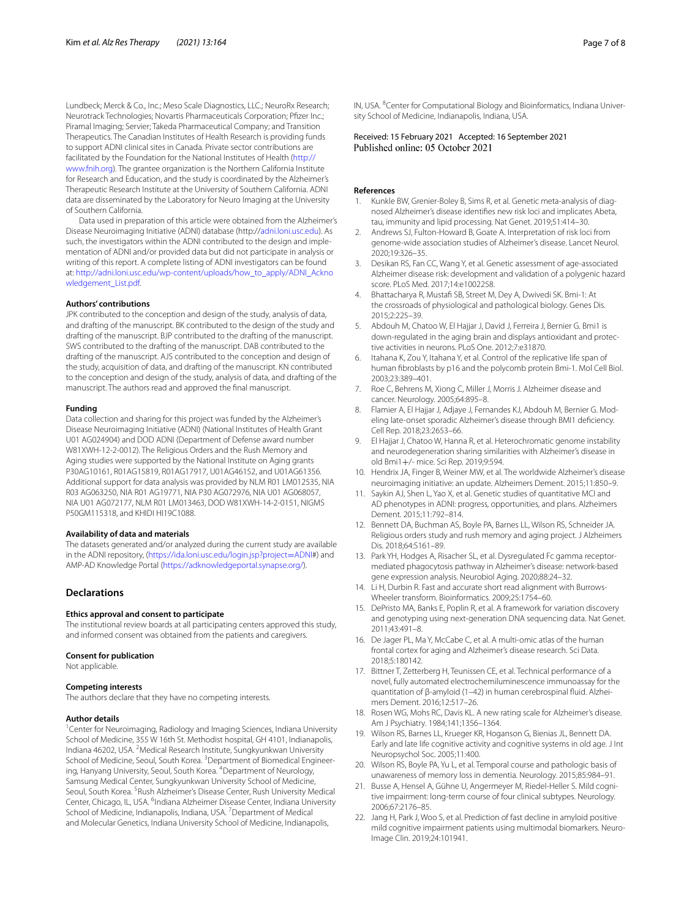Lundbeck; Merck & Co., Inc.; Meso Scale Diagnostics, LLC.; NeuroRx Research; Neurotrack Technologies; Novartis Pharmaceuticals Corporation; Pfzer Inc.; Piramal Imaging; Servier; Takeda Pharmaceutical Company; and Transition Therapeutics. The Canadian Institutes of Health Research is providing funds to support ADNI clinical sites in Canada. Private sector contributions are facilitated by the Foundation for the National Institutes of Health [\(http://](http://www.fnih.org) [www.fnih.org](http://www.fnih.org)). The grantee organization is the Northern California Institute for Research and Education, and the study is coordinated by the Alzheimer's Therapeutic Research Institute at the University of Southern California. ADNI data are disseminated by the Laboratory for Neuro Imaging at the University of Southern California.

Data used in preparation of this article were obtained from the Alzheimer's Disease Neuroimaging Initiative (ADNI) database (http:/[/adni.loni.usc.edu](http://adni.loni.ucla.edu/)). As such, the investigators within the ADNI contributed to the design and implementation of ADNI and/or provided data but did not participate in analysis or writing of this report. A complete listing of ADNI investigators can be found at: [http://adni.loni.usc.edu/wp-content/uploads/how\\_to\\_apply/ADNI\\_Ackno](http://adni.loni.usc.edu/wp-content/uploads/how_to_apply/ADNI_Acknowledgement_List.pdf) [wledgement\\_List.pdf](http://adni.loni.usc.edu/wp-content/uploads/how_to_apply/ADNI_Acknowledgement_List.pdf).

# **Authors' contributions**

JPK contributed to the conception and design of the study, analysis of data, and drafting of the manuscript. BK contributed to the design of the study and drafting of the manuscript. BJP contributed to the drafting of the manuscript. SWS contributed to the drafting of the manuscript. DAB contributed to the drafting of the manuscript. AJS contributed to the conception and design of the study, acquisition of data, and drafting of the manuscript. KN contributed to the conception and design of the study, analysis of data, and drafting of the manuscript. The authors read and approved the fnal manuscript.

#### **Funding**

Data collection and sharing for this project was funded by the Alzheimer's Disease Neuroimaging Initiative (ADNI) (National Institutes of Health Grant U01 AG024904) and DOD ADNI (Department of Defense award number W81XWH-12-2-0012). The Religious Orders and the Rush Memory and Aging studies were supported by the National Institute on Aging grants P30AG10161, R01AG15819, R01AG17917, U01AG46152, and U01AG61356. Additional support for data analysis was provided by NLM R01 LM012535, NIA R03 AG063250, NIA R01 AG19771, NIA P30 AG072976, NIA U01 AG068057, NIA U01 AG072177, NLM R01 LM013463, DOD W81XWH-14-2-0151, NIGMS P50GM115318, and KHIDI HI19C1088.

#### **Availability of data and materials**

The datasets generated and/or analyzed during the current study are available in the ADNI repository, ([https://ida.loni.usc.edu/login.jsp?project](https://ida.loni.usc.edu/login.jsp?project=ADNI)=ADNI#) and AMP-AD Knowledge Portal [\(https://adknowledgeportal.synapse.org/](https://adknowledgeportal.synapse.org/)).

# **Declarations**

#### **Ethics approval and consent to participate**

The institutional review boards at all participating centers approved this study, and informed consent was obtained from the patients and caregivers.

#### **Consent for publication**

Not applicable.

#### **Competing interests**

The authors declare that they have no competing interests.

#### **Author details**

<sup>1</sup> Center for Neuroimaging, Radiology and Imaging Sciences, Indiana University School of Medicine, 355 W 16th St. Methodist hospital, GH 4101, Indianapolis, Indiana 46202, USA. <sup>2</sup>Medical Research Institute, Sungkyunkwan University School of Medicine, Seoul, South Korea. <sup>3</sup> Department of Biomedical Engineering, Hanyang University, Seoul, South Korea. <sup>4</sup>Department of Neurology, Samsung Medical Center, Sungkyunkwan University School of Medicine, Seoul, South Korea. <sup>5</sup> Rush Alzheimer's Disease Center, Rush University Medical Center, Chicago, IL, USA. <sup>6</sup>Indiana Alzheimer Disease Center, Indiana University School of Medicine, Indianapolis, Indiana, USA.<sup>7</sup> Department of Medical and Molecular Genetics, Indiana University School of Medicine, Indianapolis,

IN, USA. <sup>8</sup> Center for Computational Biology and Bioinformatics, Indiana University School of Medicine, Indianapolis, Indiana, USA.

# Received: 15 February 2021 Accepted: 16 September 2021

# **References**

- <span id="page-6-0"></span>Kunkle BW, Grenier-Boley B, Sims R, et al. Genetic meta-analysis of diagnosed Alzheimer's disease identifes new risk loci and implicates Abeta, tau, immunity and lipid processing. Nat Genet. 2019;51:414–30.
- <span id="page-6-1"></span>2. Andrews SJ, Fulton-Howard B, Goate A. Interpretation of risk loci from genome-wide association studies of Alzheimer's disease. Lancet Neurol. 2020;19:326–35.
- <span id="page-6-2"></span>3. Desikan RS, Fan CC, Wang Y, et al. Genetic assessment of age-associated Alzheimer disease risk: development and validation of a polygenic hazard score. PLoS Med. 2017;14:e1002258.
- <span id="page-6-3"></span>4. Bhattacharya R, Mustafi SB, Street M, Dey A, Dwivedi SK. Bmi-1: At the crossroads of physiological and pathological biology. Genes Dis. 2015;2:225–39.
- <span id="page-6-4"></span>5. Abdouh M, Chatoo W, El Hajjar J, David J, Ferreira J, Bernier G. Bmi1 is down-regulated in the aging brain and displays antioxidant and protective activities in neurons. PLoS One. 2012;7:e31870.
- <span id="page-6-5"></span>6. Itahana K, Zou Y, Itahana Y, et al. Control of the replicative life span of human fbroblasts by p16 and the polycomb protein Bmi-1. Mol Cell Biol. 2003;23:389–401.
- <span id="page-6-6"></span>7. Roe C, Behrens M, Xiong C, Miller J, Morris J. Alzheimer disease and cancer. Neurology. 2005;64:895–8.
- <span id="page-6-7"></span>Flamier A, El Hajjar J, Adjaye J, Fernandes KJ, Abdouh M, Bernier G. Modeling late-onset sporadic Alzheimer's disease through BMI1 defciency. Cell Rep. 2018;23:2653–66.
- <span id="page-6-8"></span>9. El Hajjar J, Chatoo W, Hanna R, et al. Heterochromatic genome instability and neurodegeneration sharing similarities with Alzheimer's disease in old Bmi1+/- mice. Sci Rep. 2019;9:594.
- <span id="page-6-9"></span>10. Hendrix JA, Finger B, Weiner MW, et al. The worldwide Alzheimer's disease neuroimaging initiative: an update. Alzheimers Dement. 2015;11:850–9.
- <span id="page-6-10"></span>11. Saykin AJ, Shen L, Yao X, et al. Genetic studies of quantitative MCI and AD phenotypes in ADNI: progress, opportunities, and plans. Alzheimers Dement. 2015;11:792–814.
- <span id="page-6-11"></span>12. Bennett DA, Buchman AS, Boyle PA, Barnes LL, Wilson RS, Schneider JA. Religious orders study and rush memory and aging project. J Alzheimers Dis. 2018;64:S161–89.
- <span id="page-6-12"></span>13. Park YH, Hodges A, Risacher SL, et al. Dysregulated Fc gamma receptormediated phagocytosis pathway in Alzheimer's disease: network-based gene expression analysis. Neurobiol Aging. 2020;88:24–32.
- <span id="page-6-13"></span>14. Li H, Durbin R. Fast and accurate short read alignment with Burrows-Wheeler transform. Bioinformatics. 2009;25:1754–60.
- <span id="page-6-14"></span>15. DePristo MA, Banks E, Poplin R, et al. A framework for variation discovery and genotyping using next-generation DNA sequencing data. Nat Genet. 2011;43:491–8.
- <span id="page-6-15"></span>16. De Jager PL, Ma Y, McCabe C, et al. A multi-omic atlas of the human frontal cortex for aging and Alzheimer's disease research. Sci Data. 2018;5:180142.
- <span id="page-6-16"></span>17. Bittner T, Zetterberg H, Teunissen CE, et al. Technical performance of a novel, fully automated electrochemiluminescence immunoassay for the quantitation of β-amyloid (1–42) in human cerebrospinal fuid. Alzhei‑ mers Dement. 2016;12:517–26.
- <span id="page-6-17"></span>18. Rosen WG, Mohs RC, Davis KL. A new rating scale for Alzheimer's disease. Am J Psychiatry. 1984;141;1356–1364.
- <span id="page-6-18"></span>19. Wilson RS, Barnes LL, Krueger KR, Hoganson G, Bienias JL, Bennett DA. Early and late life cognitive activity and cognitive systems in old age. J Int Neuropsychol Soc. 2005;11:400.
- <span id="page-6-19"></span>20. Wilson RS, Boyle PA, Yu L, et al. Temporal course and pathologic basis of unawareness of memory loss in dementia. Neurology. 2015;85:984–91.
- <span id="page-6-20"></span>21. Busse A, Hensel A, Gühne U, Angermeyer M, Riedel-Heller S. Mild cognitive impairment: long-term course of four clinical subtypes. Neurology. 2006;67:2176–85.
- <span id="page-6-21"></span>22. Jang H, Park J, Woo S, et al. Prediction of fast decline in amyloid positive mild cognitive impairment patients using multimodal biomarkers. Neuro-Image Clin. 2019;24:101941.